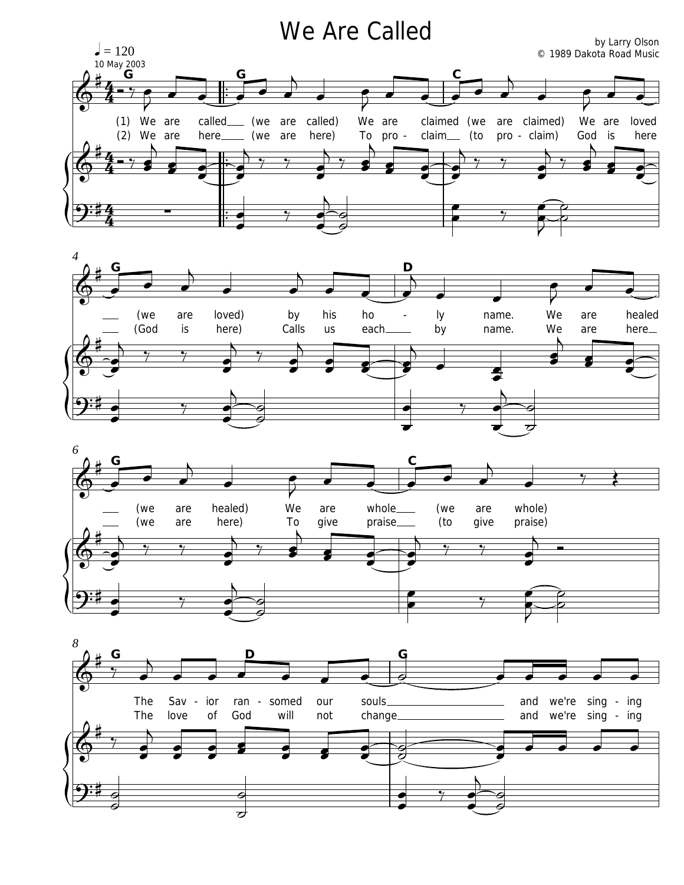## We Are Called  $\mathsf{b}_y$  Larry Olson